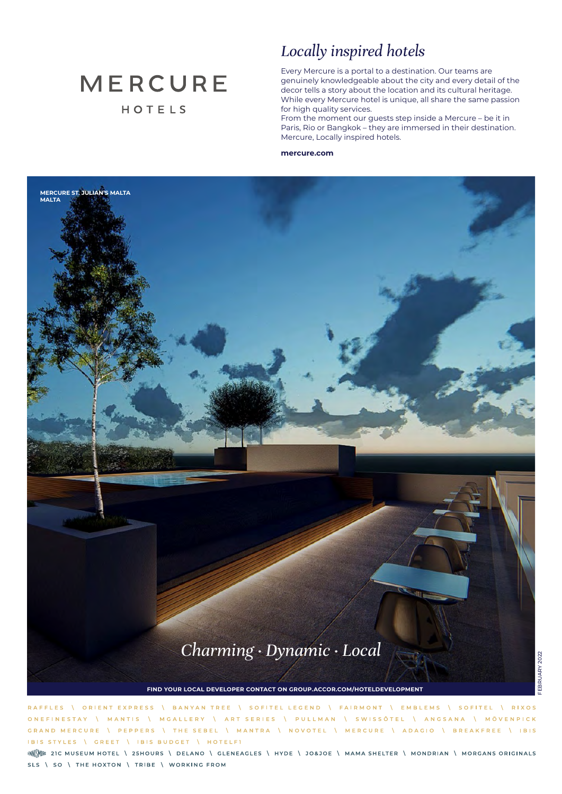# **MERCURE** HOTELS

**MERCURE ST. JULIAN'S MALTA**

**MALTA**

# *Locally inspired hotels*

Every Mercure is a portal to a destination. Our teams are genuinely knowledgeable about the city and every detail of the decor tells a story about the location and its cultural heritage. While every Mercure hotel is unique, all share the same passion for high quality services.

From the moment our guests step inside a Mercure – be it in Paris, Rio or Bangkok – they are immersed in their destination. Mercure, Locally inspired hotels.

#### **mercure.com**



**FIND YOUR LOCAL DEVELOPER CONTACT ON GROUP.ACCOR.COM/HOTELDEVELOPMENT**

RAFFLES **\ ORIENT EXPRESS** BANYAN TREE \ SOFITEL LEGEND \ FAIRMONT \ EMBLEMS \ SOFITEL **I** RIXOS MGALLERY \ ART SERIES \ PULLMAN \ SWISSÔTEL \ ANGSANA \ MÖVENPICK **ONFFINESTAY I** MANTIS  $\Lambda$ | THE SEBEL | MANTRA | NOVOTEL | MERCURE | ADAGIO | BREAKFREE | IBIS GRAND MERCURE PEPPERS IBIS STYLES \ GREET | IBIS BUDGET | HOTELFI

ENN<sup>e</sup> 21 C MUSEUM HOTEL \ 25 HOURS \ DELANO \ GLENEAGLES \ HYDE \ JO&JOE \ MAMA SHELTER \ MONDRIAN \ MORGANS ORIGINALS SLS \ SO \ THE HOXTON \ TRIBE \ WORKING FROM